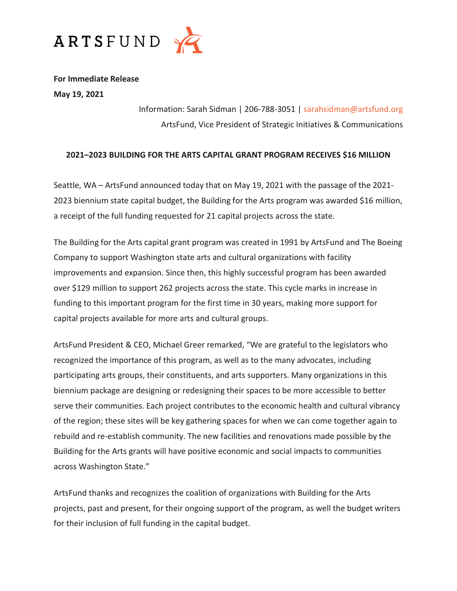

**For Immediate Release May 19, 2021**

> Information: Sarah Sidman | 206-788-3051 | [sarahsidman@artsfund.org](mailto:sarahsidman@artsfund.org) ArtsFund, Vice President of Strategic Initiatives & Communications

## **2021–2023 BUILDING FOR THE ARTS CAPITAL GRANT PROGRAM RECEIVES \$16 MILLION**

Seattle, WA – ArtsFund announced today that on May 19, 2021 with the passage of the 2021- 2023 biennium state capital budget, the Building for the Arts program was awarded \$16 million, a receipt of the full funding requested for 21 capital projects across the state.

The Building for the Arts capital grant program was created in 1991 by ArtsFund and The Boeing Company to support Washington state arts and cultural organizations with facility improvements and expansion. Since then, this highly successful program has been awarded over \$129 million to support 262 projects across the state. This cycle marks in increase in funding to this important program for the first time in 30 years, making more support for capital projects available for more arts and cultural groups.

ArtsFund President & CEO, Michael Greer remarked, "We are grateful to the legislators who recognized the importance of this program, as well as to the many advocates, including participating arts groups, their constituents, and arts supporters. Many organizations in this biennium package are designing or redesigning their spaces to be more accessible to better serve their communities. Each project contributes to the economic health and cultural vibrancy of the region; these sites will be key gathering spaces for when we can come together again to rebuild and re-establish community. The new facilities and renovations made possible by the Building for the Arts grants will have positive economic and social impacts to communities across Washington State."

ArtsFund thanks and recognizes the coalition of organizations with Building for the Arts projects, past and present, for their ongoing support of the program, as well the budget writers for their inclusion of full funding in the capital budget.